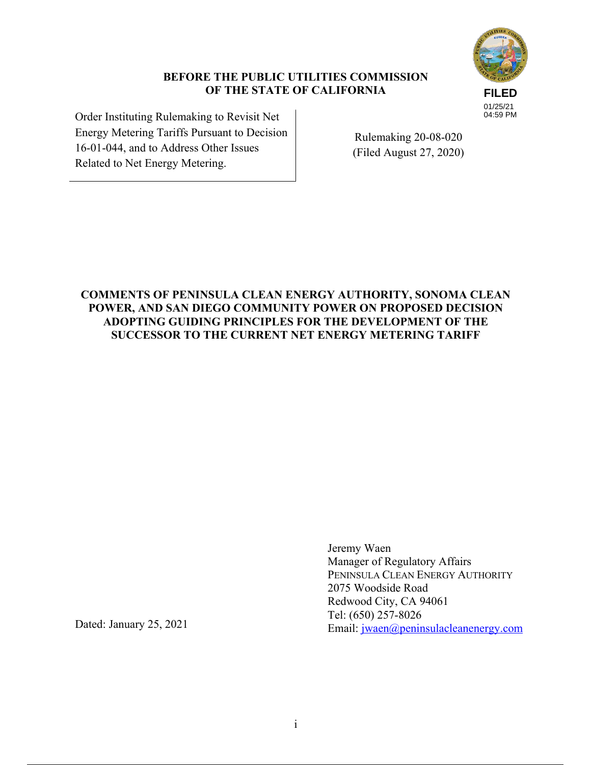# **FILED** 01/25/21 04:59 PM

# **BEFORE THE PUBLIC UTILITIES COMMISSION OF THE STATE OF CALIFORNIA**

Order Instituting Rulemaking to Revisit Net Energy Metering Tariffs Pursuant to Decision 16-01-044, and to Address Other Issues Related to Net Energy Metering.

Rulemaking 20-08-020 (Filed August 27, 2020)

# **COMMENTS OF PENINSULA CLEAN ENERGY AUTHORITY, SONOMA CLEAN POWER, AND SAN DIEGO COMMUNITY POWER ON PROPOSED DECISION ADOPTING GUIDING PRINCIPLES FOR THE DEVELOPMENT OF THE SUCCESSOR TO THE CURRENT NET ENERGY METERING TARIFF**

Jeremy Waen Manager of Regulatory Affairs PENINSULA CLEAN ENERGY AUTHORITY 2075 Woodside Road Redwood City, CA 94061 Tel: (650) 257-8026 Email: jwaen@peninsulacleanenergy.com

Dated: January 25, 2021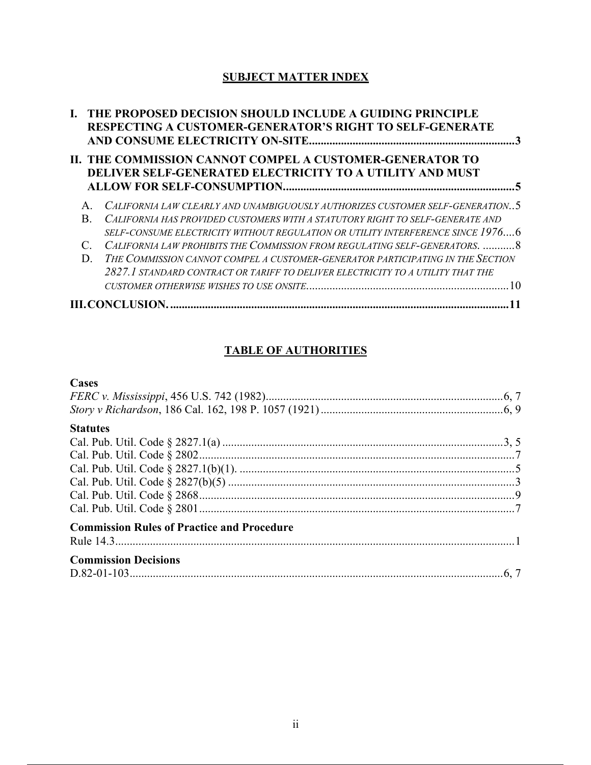# **SUBJECT MATTER INDEX**

|                        |    | I. THE PROPOSED DECISION SHOULD INCLUDE A GUIDING PRINCIPLE<br><b>RESPECTING A CUSTOMER-GENERATOR'S RIGHT TO SELF-GENERATE</b> |  |
|------------------------|----|--------------------------------------------------------------------------------------------------------------------------------|--|
|                        |    | II. THE COMMISSION CANNOT COMPEL A CUSTOMER-GENERATOR TO<br>DELIVER SELF-GENERATED ELECTRICITY TO A UTILITY AND MUST           |  |
|                        |    | CALIFORNIA LAW CLEARLY AND UNAMBIGUOUSLY AUTHORIZES CUSTOMER SELF-GENERATION5                                                  |  |
|                        | R. | CALIFORNIA HAS PROVIDED CUSTOMERS WITH A STATUTORY RIGHT TO SELF-GENERATE AND                                                  |  |
|                        |    | SELF-CONSUME ELECTRICITY WITHOUT REGULATION OR UTILITY INTERFERENCE SINCE 19766                                                |  |
|                        |    | CALIFORNIA LAW PROHIBITS THE COMMISSION FROM REGULATING SELF-GENERATORS. 8                                                     |  |
|                        | D. | THE COMMISSION CANNOT COMPEL A CUSTOMER-GENERATOR PARTICIPATING IN THE SECTION                                                 |  |
|                        |    | 2827. I standard contract or tariff to deliver electricity to a utility that the                                               |  |
|                        |    |                                                                                                                                |  |
| <b>III.CONCLUSION.</b> |    |                                                                                                                                |  |

# **TABLE OF AUTHORITIES**

# **Cases**

| <b>Statutes</b>                                   |  |
|---------------------------------------------------|--|
|                                                   |  |
|                                                   |  |
|                                                   |  |
|                                                   |  |
|                                                   |  |
|                                                   |  |
| <b>Commission Rules of Practice and Procedure</b> |  |
| <b>Commission Decisions</b>                       |  |
|                                                   |  |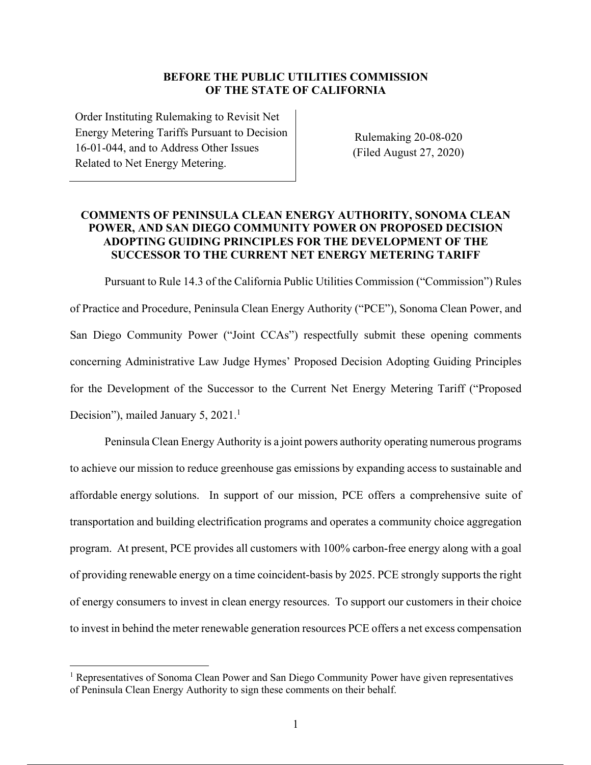#### **BEFORE THE PUBLIC UTILITIES COMMISSION OF THE STATE OF CALIFORNIA**

Order Instituting Rulemaking to Revisit Net Energy Metering Tariffs Pursuant to Decision 16-01-044, and to Address Other Issues Related to Net Energy Metering.

Rulemaking 20-08-020 (Filed August 27, 2020)

## **COMMENTS OF PENINSULA CLEAN ENERGY AUTHORITY, SONOMA CLEAN POWER, AND SAN DIEGO COMMUNITY POWER ON PROPOSED DECISION ADOPTING GUIDING PRINCIPLES FOR THE DEVELOPMENT OF THE SUCCESSOR TO THE CURRENT NET ENERGY METERING TARIFF**

Pursuant to Rule 14.3 of the California Public Utilities Commission ("Commission") Rules of Practice and Procedure, Peninsula Clean Energy Authority ("PCE"), Sonoma Clean Power, and San Diego Community Power ("Joint CCAs") respectfully submit these opening comments concerning Administrative Law Judge Hymes' Proposed Decision Adopting Guiding Principles for the Development of the Successor to the Current Net Energy Metering Tariff ("Proposed Decision"), mailed January 5, 2021.<sup>1</sup>

Peninsula Clean Energy Authority is a joint powers authority operating numerous programs to achieve our mission to reduce greenhouse gas emissions by expanding access to sustainable and affordable energy solutions. In support of our mission, PCE offers a comprehensive suite of transportation and building electrification programs and operates a community choice aggregation program. At present, PCE provides all customers with 100% carbon-free energy along with a goal of providing renewable energy on a time coincident-basis by 2025. PCE strongly supports the right of energy consumers to invest in clean energy resources. To support our customers in their choice to invest in behind the meter renewable generation resources PCE offers a net excess compensation

<sup>&</sup>lt;sup>1</sup> Representatives of Sonoma Clean Power and San Diego Community Power have given representatives of Peninsula Clean Energy Authority to sign these comments on their behalf.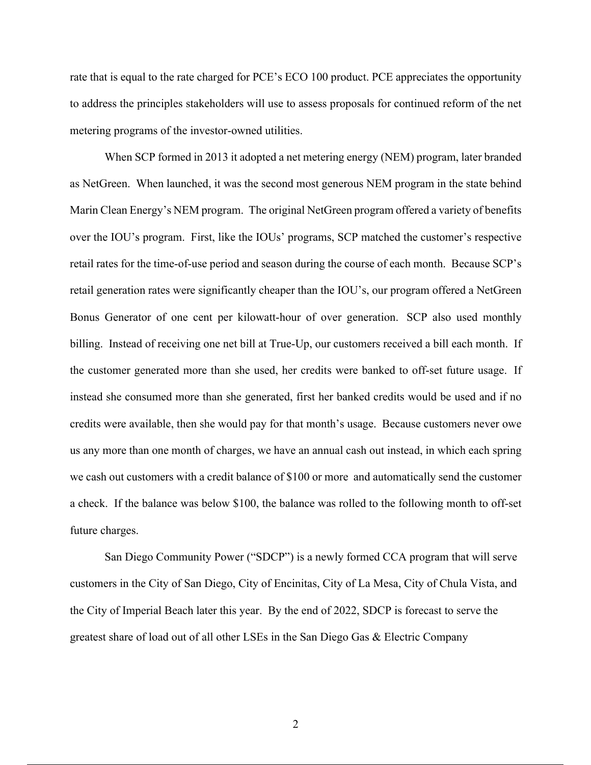rate that is equal to the rate charged for PCE's ECO 100 product. PCE appreciates the opportunity to address the principles stakeholders will use to assess proposals for continued reform of the net metering programs of the investor-owned utilities.

When SCP formed in 2013 it adopted a net metering energy (NEM) program, later branded as NetGreen. When launched, it was the second most generous NEM program in the state behind Marin Clean Energy's NEM program. The original NetGreen program offered a variety of benefits over the IOU's program. First, like the IOUs' programs, SCP matched the customer's respective retail rates for the time-of-use period and season during the course of each month. Because SCP's retail generation rates were significantly cheaper than the IOU's, our program offered a NetGreen Bonus Generator of one cent per kilowatt-hour of over generation. SCP also used monthly billing. Instead of receiving one net bill at True-Up, our customers received a bill each month. If the customer generated more than she used, her credits were banked to off-set future usage. If instead she consumed more than she generated, first her banked credits would be used and if no credits were available, then she would pay for that month's usage. Because customers never owe us any more than one month of charges, we have an annual cash out instead, in which each spring we cash out customers with a credit balance of \$100 or more and automatically send the customer a check. If the balance was below \$100, the balance was rolled to the following month to off-set future charges.

San Diego Community Power ("SDCP") is a newly formed CCA program that will serve customers in the City of San Diego, City of Encinitas, City of La Mesa, City of Chula Vista, and the City of Imperial Beach later this year. By the end of 2022, SDCP is forecast to serve the greatest share of load out of all other LSEs in the San Diego Gas & Electric Company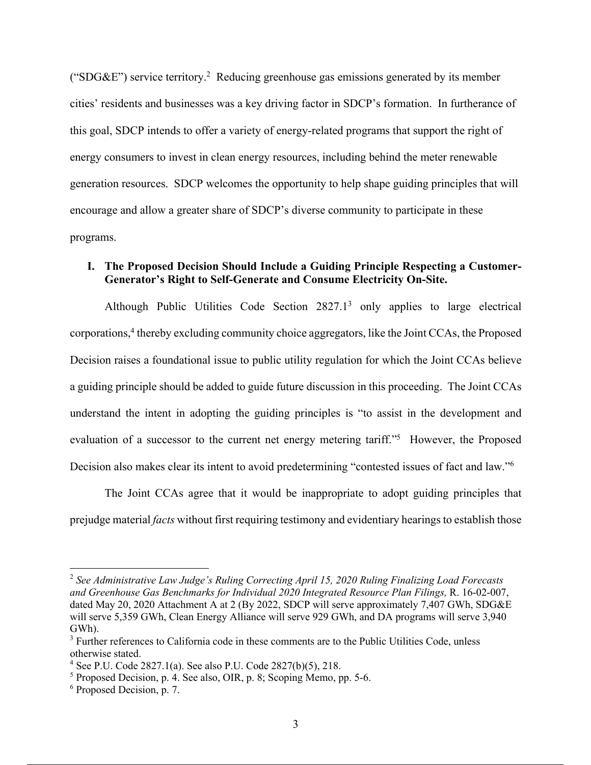("SDG&E") service territory.<sup>2</sup> Reducing greenhouse gas emissions generated by its member cities' residents and businesses was a key driving factor in SDCP's formation. In furtherance of this goal, SDCP intends to offer a variety of energy-related programs that support the right of energy consumers to invest in clean energy resources, including behind the meter renewable generation resources. SDCP welcomes the opportunity to help shape guiding principles that will encourage and allow a greater share of SDCP's diverse community to participate in these programs.

#### **I. The Proposed Decision Should Include a Guiding Principle Respecting a Customer-Generator's Right to Self-Generate and Consume Electricity On-Site.**

Although Public Utilities Code Section 2827.1<sup>3</sup> only applies to large electrical corporations,<sup>4</sup> thereby excluding community choice aggregators, like the Joint CCAs, the Proposed Decision raises a foundational issue to public utility regulation for which the Joint CCAs believe a guiding principle should be added to guide future discussion in this proceeding. The Joint CCAs understand the intent in adopting the guiding principles is "to assist in the development and evaluation of a successor to the current net energy metering tariff."<sup>5</sup> However, the Proposed Decision also makes clear its intent to avoid predetermining "contested issues of fact and law."<sup>6</sup>

The Joint CCAs agree that it would be inappropriate to adopt guiding principles that prejudge material *facts* without first requiring testimony and evidentiary hearings to establish those

<sup>2</sup> *See Administrative Law Judge's Ruling Correcting April 15, 2020 Ruling Finalizing Load Forecasts and Greenhouse Gas Benchmarks for Individual 2020 Integrated Resource Plan Filings,* R. 16-02-007, dated May 20, 2020 Attachment A at 2 (By 2022, SDCP will serve approximately 7,407 GWh, SDG&E will serve 5,359 GWh, Clean Energy Alliance will serve 929 GWh, and DA programs will serve 3,940 GWh).

<sup>&</sup>lt;sup>3</sup> Further references to California code in these comments are to the Public Utilities Code, unless otherwise stated.

<sup>4</sup> See P.U. Code 2827.1(a). See also P.U. Code 2827(b)(5), 218.

 $<sup>5</sup>$  Proposed Decision, p. 4. See also, OIR, p. 8; Scoping Memo, pp. 5-6.</sup>

<sup>6</sup> Proposed Decision, p. 7.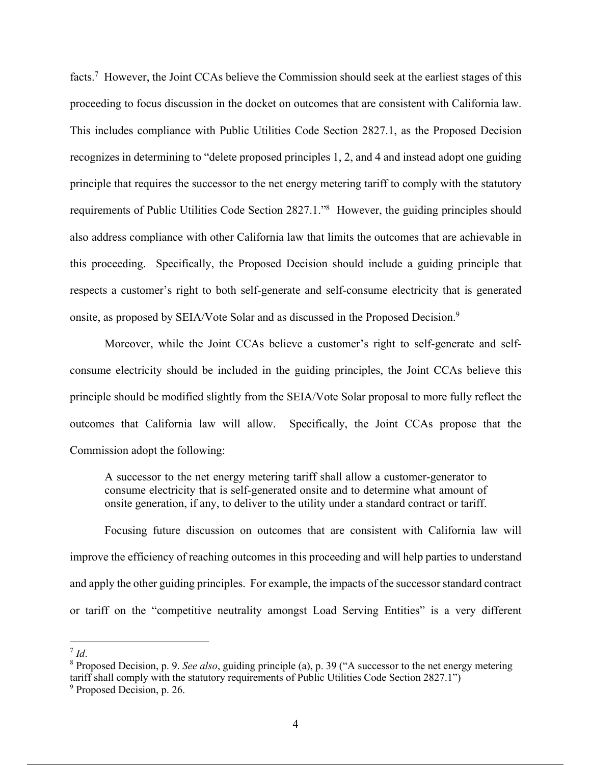facts.<sup>7</sup> However, the Joint CCAs believe the Commission should seek at the earliest stages of this proceeding to focus discussion in the docket on outcomes that are consistent with California law. This includes compliance with Public Utilities Code Section 2827.1, as the Proposed Decision recognizes in determining to "delete proposed principles 1, 2, and 4 and instead adopt one guiding principle that requires the successor to the net energy metering tariff to comply with the statutory requirements of Public Utilities Code Section 2827.1."<sup>8</sup> However, the guiding principles should also address compliance with other California law that limits the outcomes that are achievable in this proceeding. Specifically, the Proposed Decision should include a guiding principle that respects a customer's right to both self-generate and self-consume electricity that is generated onsite, as proposed by SEIA/Vote Solar and as discussed in the Proposed Decision.<sup>9</sup>

Moreover, while the Joint CCAs believe a customer's right to self-generate and selfconsume electricity should be included in the guiding principles, the Joint CCAs believe this principle should be modified slightly from the SEIA/Vote Solar proposal to more fully reflect the outcomes that California law will allow. Specifically, the Joint CCAs propose that the Commission adopt the following:

A successor to the net energy metering tariff shall allow a customer-generator to consume electricity that is self-generated onsite and to determine what amount of onsite generation, if any, to deliver to the utility under a standard contract or tariff.

Focusing future discussion on outcomes that are consistent with California law will improve the efficiency of reaching outcomes in this proceeding and will help parties to understand and apply the other guiding principles. For example, the impacts of the successor standard contract or tariff on the "competitive neutrality amongst Load Serving Entities" is a very different

 $^7$  *Id*.

<sup>8</sup> Proposed Decision, p. 9. *See also*, guiding principle (a), p. 39 ("A successor to the net energy metering tariff shall comply with the statutory requirements of Public Utilities Code Section 2827.1")

<sup>&</sup>lt;sup>9</sup> Proposed Decision, p. 26.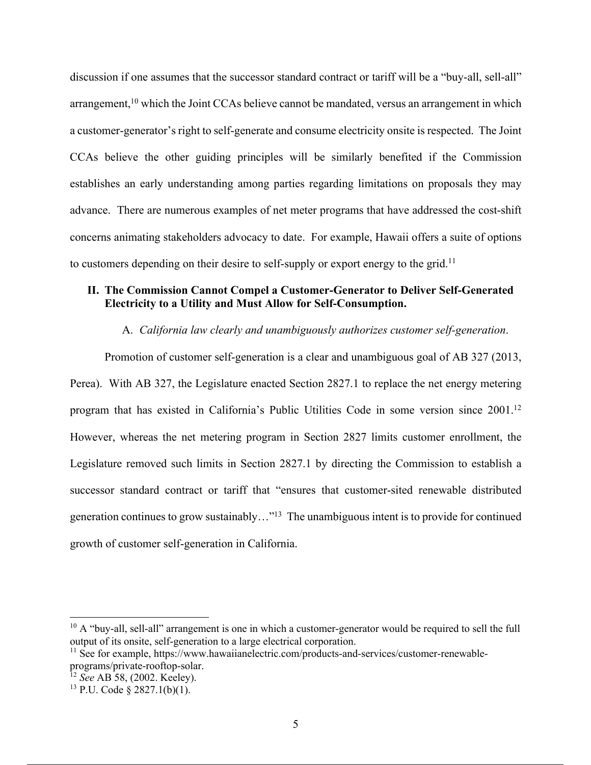discussion if one assumes that the successor standard contract or tariff will be a "buy-all, sell-all" arrangement, $10$  which the Joint CCAs believe cannot be mandated, versus an arrangement in which a customer-generator's right to self-generate and consume electricity onsite is respected. The Joint CCAs believe the other guiding principles will be similarly benefited if the Commission establishes an early understanding among parties regarding limitations on proposals they may advance. There are numerous examples of net meter programs that have addressed the cost-shift concerns animating stakeholders advocacy to date. For example, Hawaii offers a suite of options to customers depending on their desire to self-supply or export energy to the grid.<sup>11</sup>

#### **II. The Commission Cannot Compel a Customer-Generator to Deliver Self-Generated Electricity to a Utility and Must Allow for Self-Consumption.**

#### A. *California law clearly and unambiguously authorizes customer self-generation*.

Promotion of customer self-generation is a clear and unambiguous goal of AB 327 (2013, Perea). With AB 327, the Legislature enacted Section 2827.1 to replace the net energy metering program that has existed in California's Public Utilities Code in some version since 2001.<sup>12</sup> However, whereas the net metering program in Section 2827 limits customer enrollment, the Legislature removed such limits in Section 2827.1 by directing the Commission to establish a successor standard contract or tariff that "ensures that customer-sited renewable distributed generation continues to grow sustainably…"<sup>13</sup> The unambiguous intent is to provide for continued growth of customer self-generation in California.

 $10$  A "buy-all, sell-all" arrangement is one in which a customer-generator would be required to sell the full output of its onsite, self-generation to a large electrical corporation.

<sup>&</sup>lt;sup>11</sup> See for example, https://www.hawaiianelectric.com/products-and-services/customer-renewableprograms/private-rooftop-solar.

<sup>12</sup> *See* AB 58, (2002. Keeley).

 $13$  P.U. Code  $\frac{2827.1(b)(1)}{1}$ .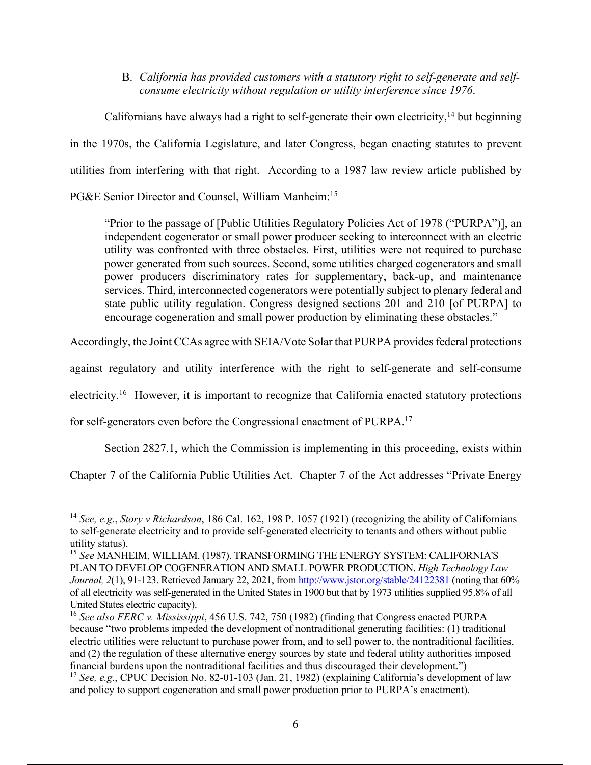B. *California has provided customers with a statutory right to self-generate and selfconsume electricity without regulation or utility interference since 1976*.

Californians have always had a right to self-generate their own electricity,<sup>14</sup> but beginning in the 1970s, the California Legislature, and later Congress, began enacting statutes to prevent utilities from interfering with that right. According to a 1987 law review article published by PG&E Senior Director and Counsel, William Manheim:<sup>15</sup>

"Prior to the passage of [Public Utilities Regulatory Policies Act of 1978 ("PURPA")], an independent cogenerator or small power producer seeking to interconnect with an electric utility was confronted with three obstacles. First, utilities were not required to purchase power generated from such sources. Second, some utilities charged cogenerators and small power producers discriminatory rates for supplementary, back-up, and maintenance services. Third, interconnected cogenerators were potentially subject to plenary federal and state public utility regulation. Congress designed sections 201 and 210 [of PURPA] to encourage cogeneration and small power production by eliminating these obstacles."

Accordingly, the Joint CCAs agree with SEIA/Vote Solar that PURPA provides federal protections

against regulatory and utility interference with the right to self-generate and self-consume

electricity.<sup>16</sup> However, it is important to recognize that California enacted statutory protections

for self-generators even before the Congressional enactment of PURPA.<sup>17</sup>

Section 2827.1, which the Commission is implementing in this proceeding, exists within

Chapter 7 of the California Public Utilities Act. Chapter 7 of the Act addresses "Private Energy

<sup>14</sup> *See, e.g*., *Story v Richardson*, 186 Cal. 162, 198 P. 1057 (1921) (recognizing the ability of Californians to self-generate electricity and to provide self-generated electricity to tenants and others without public utility status).

<sup>15</sup> *See* MANHEIM, WILLIAM. (1987). TRANSFORMING THE ENERGY SYSTEM: CALIFORNIA'S PLAN TO DEVELOP COGENERATION AND SMALL POWER PRODUCTION. *High Technology Law Journal,* 2(1), 91-123. Retrieved January 22, 2021, from http://www.jstor.org/stable/24122381 (noting that 60% of all electricity was self-generated in the United States in 1900 but that by 1973 utilities supplied 95.8% of all United States electric capacity).

<sup>16</sup> *See also FERC v. Mississippi*, 456 U.S. 742, 750 (1982) (finding that Congress enacted PURPA because "two problems impeded the development of nontraditional generating facilities: (1) traditional electric utilities were reluctant to purchase power from, and to sell power to, the nontraditional facilities, and (2) the regulation of these alternative energy sources by state and federal utility authorities imposed financial burdens upon the nontraditional facilities and thus discouraged their development.")

<sup>&</sup>lt;sup>17</sup> *See, e.g.*, CPUC Decision No. 82-01-103 (Jan. 21, 1982) (explaining California's development of law and policy to support cogeneration and small power production prior to PURPA's enactment).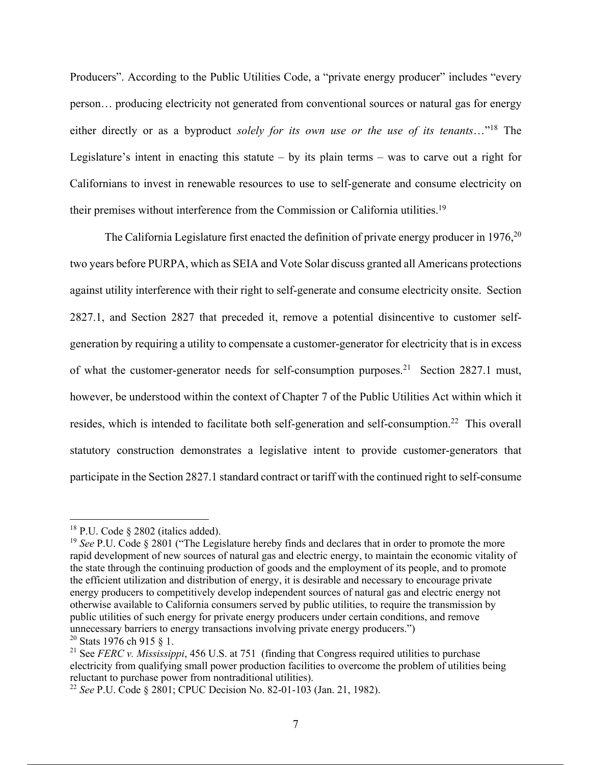Producers". According to the Public Utilities Code, a "private energy producer" includes "every person… producing electricity not generated from conventional sources or natural gas for energy either directly or as a byproduct *solely for its own use or the use of its tenants*…"<sup>18</sup> The Legislature's intent in enacting this statute – by its plain terms – was to carve out a right for Californians to invest in renewable resources to use to self-generate and consume electricity on their premises without interference from the Commission or California utilities.<sup>19</sup>

The California Legislature first enacted the definition of private energy producer in  $1976$ <sup>20</sup> two years before PURPA, which as SEIA and Vote Solar discuss granted all Americans protections against utility interference with their right to self-generate and consume electricity onsite. Section 2827.1, and Section 2827 that preceded it, remove a potential disincentive to customer selfgeneration by requiring a utility to compensate a customer-generator for electricity that is in excess of what the customer-generator needs for self-consumption purposes.<sup>21</sup> Section 2827.1 must, however, be understood within the context of Chapter 7 of the Public Utilities Act within which it resides, which is intended to facilitate both self-generation and self-consumption.<sup>22</sup> This overall statutory construction demonstrates a legislative intent to provide customer-generators that participate in the Section 2827.1 standard contract or tariff with the continued right to self-consume

 $18$  P.U. Code § 2802 (italics added).

<sup>&</sup>lt;sup>19</sup> See P.U. Code § 2801 ("The Legislature hereby finds and declares that in order to promote the more rapid development of new sources of natural gas and electric energy, to maintain the economic vitality of the state through the continuing production of goods and the employment of its people, and to promote the efficient utilization and distribution of energy, it is desirable and necessary to encourage private energy producers to competitively develop independent sources of natural gas and electric energy not otherwise available to California consumers served by public utilities, to require the transmission by public utilities of such energy for private energy producers under certain conditions, and remove unnecessary barriers to energy transactions involving private energy producers.")

<sup>&</sup>lt;sup>20</sup> Stats 1976 ch 915  $\S$  1.

<sup>&</sup>lt;sup>21</sup> See *FERC v. Mississippi*, 456 U.S. at 751 (finding that Congress required utilities to purchase electricity from qualifying small power production facilities to overcome the problem of utilities being reluctant to purchase power from nontraditional utilities).

<sup>22</sup> *See* P.U. Code § 2801; CPUC Decision No. 82-01-103 (Jan. 21, 1982).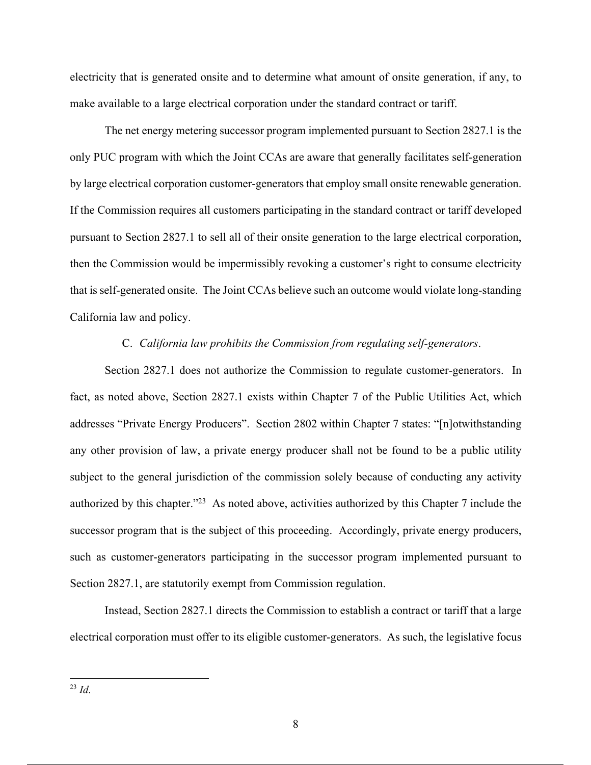electricity that is generated onsite and to determine what amount of onsite generation, if any, to make available to a large electrical corporation under the standard contract or tariff.

The net energy metering successor program implemented pursuant to Section 2827.1 is the only PUC program with which the Joint CCAs are aware that generally facilitates self-generation by large electrical corporation customer-generatorsthat employ small onsite renewable generation. If the Commission requires all customers participating in the standard contract or tariff developed pursuant to Section 2827.1 to sell all of their onsite generation to the large electrical corporation, then the Commission would be impermissibly revoking a customer's right to consume electricity that is self-generated onsite. The Joint CCAs believe such an outcome would violate long-standing California law and policy.

#### C. *California law prohibits the Commission from regulating self-generators*.

Section 2827.1 does not authorize the Commission to regulate customer-generators. In fact, as noted above, Section 2827.1 exists within Chapter 7 of the Public Utilities Act, which addresses "Private Energy Producers". Section 2802 within Chapter 7 states: "[n]otwithstanding any other provision of law, a private energy producer shall not be found to be a public utility subject to the general jurisdiction of the commission solely because of conducting any activity authorized by this chapter."<sup>23</sup> As noted above, activities authorized by this Chapter 7 include the successor program that is the subject of this proceeding. Accordingly, private energy producers, such as customer-generators participating in the successor program implemented pursuant to Section 2827.1, are statutorily exempt from Commission regulation.

Instead, Section 2827.1 directs the Commission to establish a contract or tariff that a large electrical corporation must offer to its eligible customer-generators. As such, the legislative focus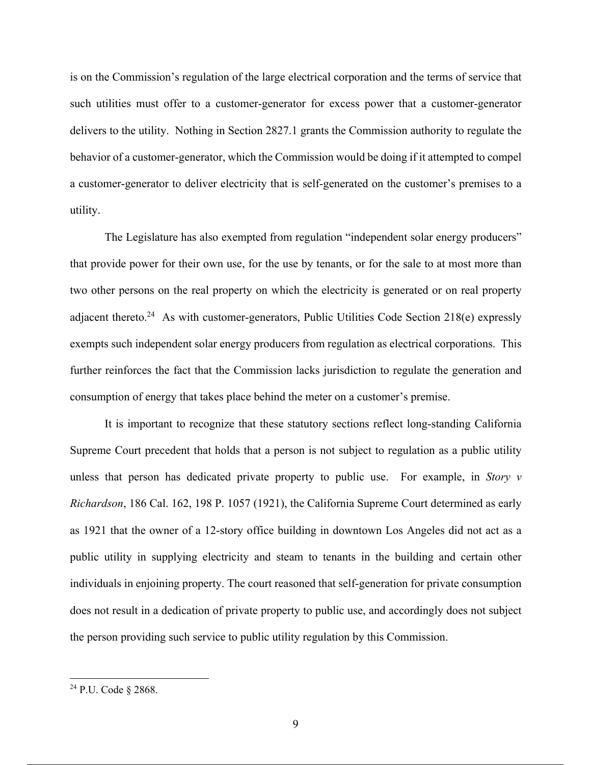is on the Commission's regulation of the large electrical corporation and the terms of service that such utilities must offer to a customer-generator for excess power that a customer-generator delivers to the utility. Nothing in Section 2827.1 grants the Commission authority to regulate the behavior of a customer-generator, which the Commission would be doing if it attempted to compel a customer-generator to deliver electricity that is self-generated on the customer's premises to a utility.

The Legislature has also exempted from regulation "independent solar energy producers" that provide power for their own use, for the use by tenants, or for the sale to at most more than two other persons on the real property on which the electricity is generated or on real property adjacent thereto.<sup>24</sup> As with customer-generators, Public Utilities Code Section 218(e) expressly exempts such independent solar energy producers from regulation as electrical corporations. This further reinforces the fact that the Commission lacks jurisdiction to regulate the generation and consumption of energy that takes place behind the meter on a customer's premise.

It is important to recognize that these statutory sections reflect long-standing California Supreme Court precedent that holds that a person is not subject to regulation as a public utility unless that person has dedicated private property to public use. For example, in *Story v Richardson*, 186 Cal. 162, 198 P. 1057 (1921), the California Supreme Court determined as early as 1921 that the owner of a 12-story office building in downtown Los Angeles did not act as a public utility in supplying electricity and steam to tenants in the building and certain other individuals in enjoining property. The court reasoned that self-generation for private consumption does not result in a dedication of private property to public use, and accordingly does not subject the person providing such service to public utility regulation by this Commission.

<sup>24</sup> P.U. Code § 2868.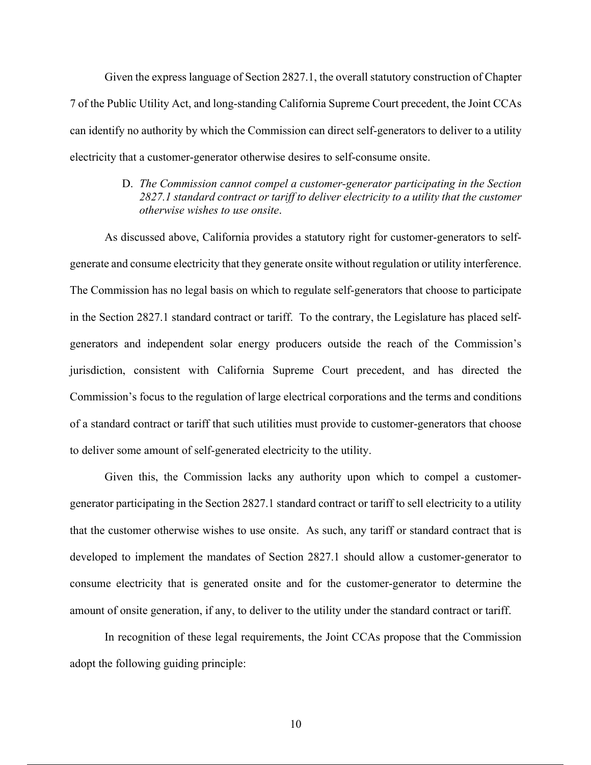Given the express language of Section 2827.1, the overall statutory construction of Chapter 7 of the Public Utility Act, and long-standing California Supreme Court precedent, the Joint CCAs can identify no authority by which the Commission can direct self-generators to deliver to a utility electricity that a customer-generator otherwise desires to self-consume onsite.

#### D. *The Commission cannot compel a customer-generator participating in the Section 2827.1 standard contract or tariff to deliver electricity to a utility that the customer otherwise wishes to use onsite*.

As discussed above, California provides a statutory right for customer-generators to selfgenerate and consume electricity that they generate onsite without regulation or utility interference. The Commission has no legal basis on which to regulate self-generators that choose to participate in the Section 2827.1 standard contract or tariff. To the contrary, the Legislature has placed selfgenerators and independent solar energy producers outside the reach of the Commission's jurisdiction, consistent with California Supreme Court precedent, and has directed the Commission's focus to the regulation of large electrical corporations and the terms and conditions of a standard contract or tariff that such utilities must provide to customer-generators that choose to deliver some amount of self-generated electricity to the utility.

Given this, the Commission lacks any authority upon which to compel a customergenerator participating in the Section 2827.1 standard contract or tariff to sell electricity to a utility that the customer otherwise wishes to use onsite. As such, any tariff or standard contract that is developed to implement the mandates of Section 2827.1 should allow a customer-generator to consume electricity that is generated onsite and for the customer-generator to determine the amount of onsite generation, if any, to deliver to the utility under the standard contract or tariff.

In recognition of these legal requirements, the Joint CCAs propose that the Commission adopt the following guiding principle: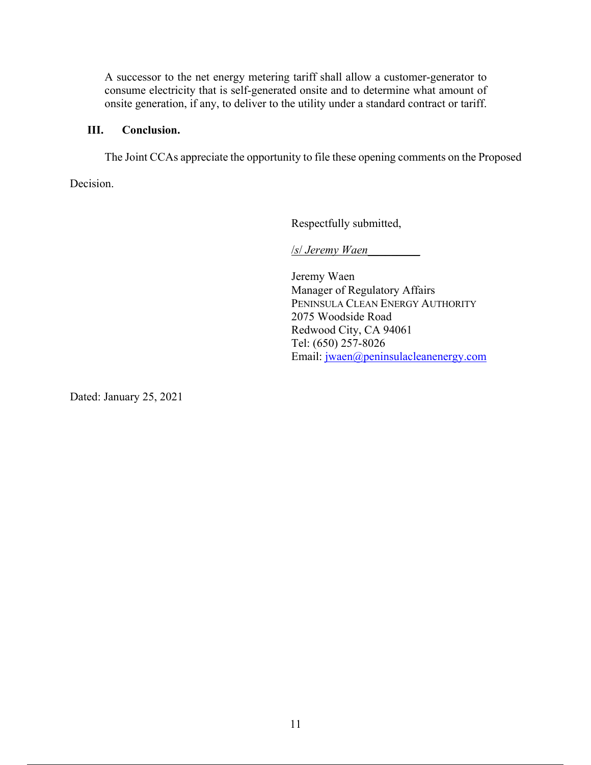A successor to the net energy metering tariff shall allow a customer-generator to consume electricity that is self-generated onsite and to determine what amount of onsite generation, if any, to deliver to the utility under a standard contract or tariff.

## **III. Conclusion.**

The Joint CCAs appreciate the opportunity to file these opening comments on the Proposed

Decision.

Respectfully submitted,

/*s*/ *Jeremy Waen*\_\_\_\_\_\_\_\_\_

Jeremy Waen Manager of Regulatory Affairs PENINSULA CLEAN ENERGY AUTHORITY 2075 Woodside Road Redwood City, CA 94061 Tel: (650) 257-8026 Email: jwaen@peninsulacleanenergy.com

Dated: January 25, 2021